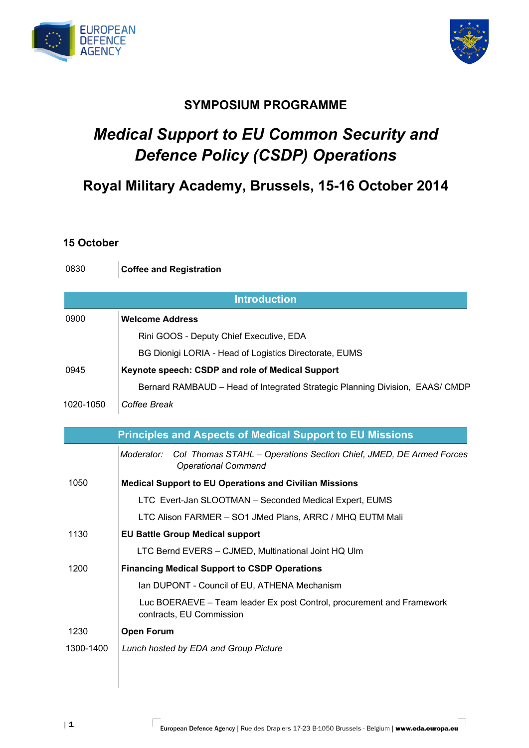



## **SYMPOSIUM PROGRAMME**

# *Medical Support to EU Common Security and Defence Policy (CSDP) Operations*

# **Royal Military Academy, Brussels, 15-16 October 2014**

#### **15 October**

0830 **Coffee and Registration** 

|           | <b>Introduction</b>                                                                                            |
|-----------|----------------------------------------------------------------------------------------------------------------|
| 0900      | <b>Welcome Address</b>                                                                                         |
|           | Rini GOOS - Deputy Chief Executive, EDA                                                                        |
|           |                                                                                                                |
|           | BG Dionigi LORIA - Head of Logistics Directorate, EUMS                                                         |
| 0945      | Keynote speech: CSDP and role of Medical Support                                                               |
|           | Bernard RAMBAUD - Head of Integrated Strategic Planning Division, EAAS/ CMDP                                   |
| 1020-1050 | Coffee Break                                                                                                   |
|           |                                                                                                                |
|           | <b>Principles and Aspects of Medical Support to EU Missions</b>                                                |
|           | Moderator:<br>Col Thomas STAHL - Operations Section Chief, JMED, DE Armed Forces<br><b>Operational Command</b> |
| 1050      | <b>Medical Support to EU Operations and Civilian Missions</b>                                                  |
|           | LTC Evert-Jan SLOOTMAN - Seconded Medical Expert, EUMS                                                         |
|           | LTC Alison FARMER - SO1 JMed Plans, ARRC / MHQ EUTM Mali                                                       |
| 1130      | <b>EU Battle Group Medical support</b>                                                                         |
|           | LTC Bernd EVERS - CJMED, Multinational Joint HQ Ulm                                                            |
| 1200      | <b>Financing Medical Support to CSDP Operations</b>                                                            |
|           | Ian DUPONT - Council of EU, ATHENA Mechanism                                                                   |
|           | Luc BOERAEVE - Team leader Ex post Control, procurement and Framework<br>contracts, EU Commission              |
| 1230      | <b>Open Forum</b>                                                                                              |
| 1300-1400 | Lunch hosted by EDA and Group Picture                                                                          |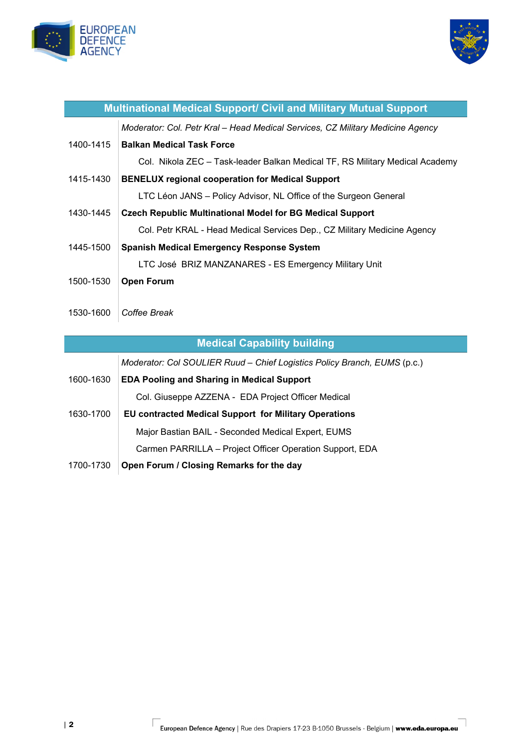



| <b>Multinational Medical Support/ Civil and Military Mutual Support</b> |                                                                                |  |
|-------------------------------------------------------------------------|--------------------------------------------------------------------------------|--|
|                                                                         | Moderator: Col. Petr Kral - Head Medical Services, CZ Military Medicine Agency |  |
| 1400-1415                                                               | <b>Balkan Medical Task Force</b>                                               |  |
|                                                                         | Col. Nikola ZEC - Task-leader Balkan Medical TF, RS Military Medical Academy   |  |
| 1415-1430                                                               | <b>BENELUX regional cooperation for Medical Support</b>                        |  |
|                                                                         | LTC Léon JANS - Policy Advisor, NL Office of the Surgeon General               |  |
| 1430-1445                                                               | <b>Czech Republic Multinational Model for BG Medical Support</b>               |  |
|                                                                         | Col. Petr KRAL - Head Medical Services Dep., CZ Military Medicine Agency       |  |
| 1445-1500                                                               | <b>Spanish Medical Emergency Response System</b>                               |  |
|                                                                         | LTC José BRIZ MANZANARES - ES Emergency Military Unit                          |  |
| 1500-1530                                                               | <b>Open Forum</b>                                                              |  |
|                                                                         |                                                                                |  |
| 1530-1600                                                               | Coffee Break                                                                   |  |
|                                                                         |                                                                                |  |
| <b>Medical Capability building</b>                                      |                                                                                |  |
|                                                                         | Moderator: Col SOULIER Ruud - Chief Logistics Policy Branch, EUMS (p.c.)       |  |
| 1600-1630                                                               | <b>EDA Pooling and Sharing in Medical Support</b>                              |  |
|                                                                         | Col. Giuseppe AZZENA - EDA Project Officer Medical                             |  |
| 1630-1700                                                               | <b>EU contracted Medical Support for Military Operations</b>                   |  |

Major Bastian BAIL - Seconded Medical Expert, EUMS

1700-1730 **Open Forum / Closing Remarks for the day** 

Carmen PARRILLA – Project Officer Operation Support, EDA